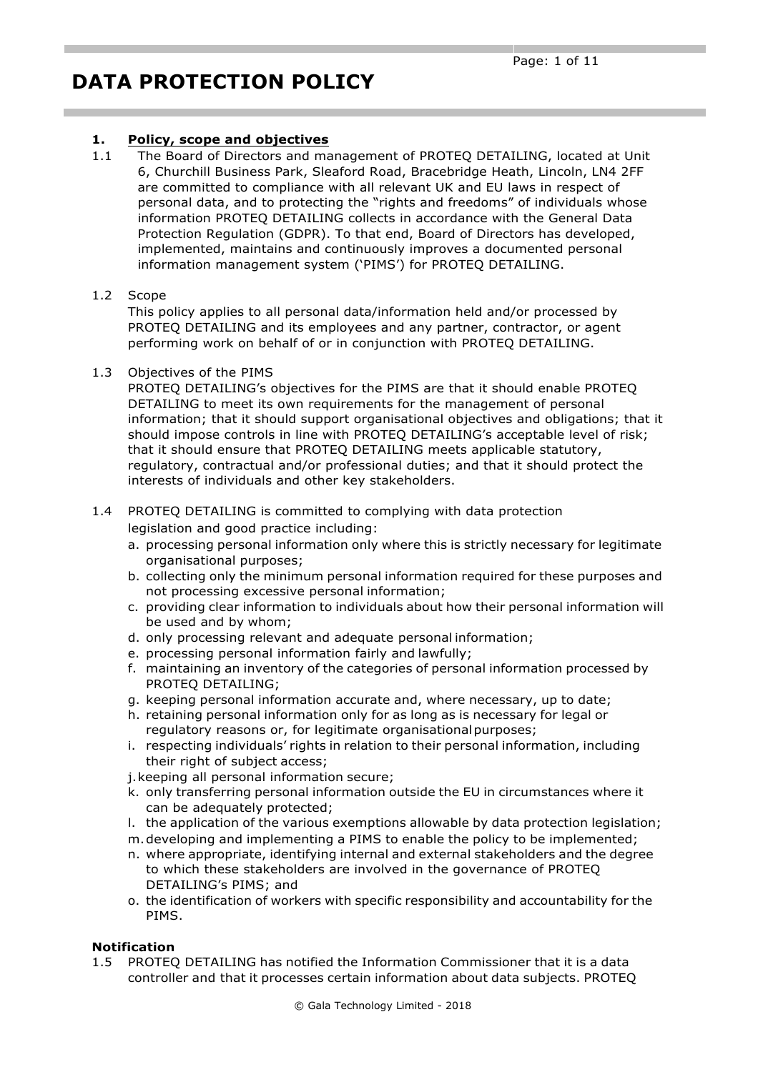### **1. Policy, scope and objectives**

1.1 The Board of Directors and management of PROTEQ DETAILING, located at Unit 6, Churchill Business Park, Sleaford Road, Bracebridge Heath, Lincoln, LN4 2FF are committed to compliance with all relevant UK and EU laws in respect of personal data, and to protecting the "rights and freedoms" of individuals whose information PROTEQ DETAILING collects in accordance with the General Data Protection Regulation (GDPR). To that end, Board of Directors has developed, implemented, maintains and continuously improves a documented personal information management system ('PIMS') for PROTEQ DETAILING.

#### 1.2 Scope

This policy applies to all personal data/information held and/or processed by PROTEQ DETAILING and its employees and any partner, contractor, or agent performing work on behalf of or in conjunction with PROTEQ DETAILING.

#### 1.3 Objectives of the PIMS

PROTEQ DETAILING's objectives for the PIMS are that it should enable PROTEQ DETAILING to meet its own requirements for the management of personal information; that it should support organisational objectives and obligations; that it should impose controls in line with PROTEQ DETAILING's acceptable level of risk; that it should ensure that PROTEQ DETAILING meets applicable statutory, regulatory, contractual and/or professional duties; and that it should protect the interests of individuals and other key stakeholders.

#### 1.4 PROTEQ DETAILING is committed to complying with data protection legislation and good practice including:

- a. processing personal information only where this is strictly necessary for legitimate organisational purposes;
- b. collecting only the minimum personal information required for these purposes and not processing excessive personal information;
- c. providing clear information to individuals about how their personal information will be used and by whom;
- d. only processing relevant and adequate personal information;
- e. processing personal information fairly and lawfully;
- f. maintaining an inventory of the categories of personal information processed by PROTEQ DETAILING;
- g. keeping personal information accurate and, where necessary, up to date;
- h. retaining personal information only for as long as is necessary for legal or regulatory reasons or, for legitimate organisationalpurposes;
- i. respecting individuals' rights in relation to their personal information, including their right of subject access;
- j.keeping all personal information secure;
- k. only transferring personal information outside the EU in circumstances where it can be adequately protected;
- l. the application of the various exemptions allowable by data protection legislation;
- m.developing and implementing a PIMS to enable the policy to be implemented;
- n. where appropriate, identifying internal and external stakeholders and the degree to which these stakeholders are involved in the governance of PROTEQ DETAILING's PIMS; and
- o. the identification of workers with specific responsibility and accountability for the PIMS.

### **Notification**

1.5 PROTEQ DETAILING has notified the Information Commissioner that it is a data controller and that it processes certain information about data subjects. PROTEQ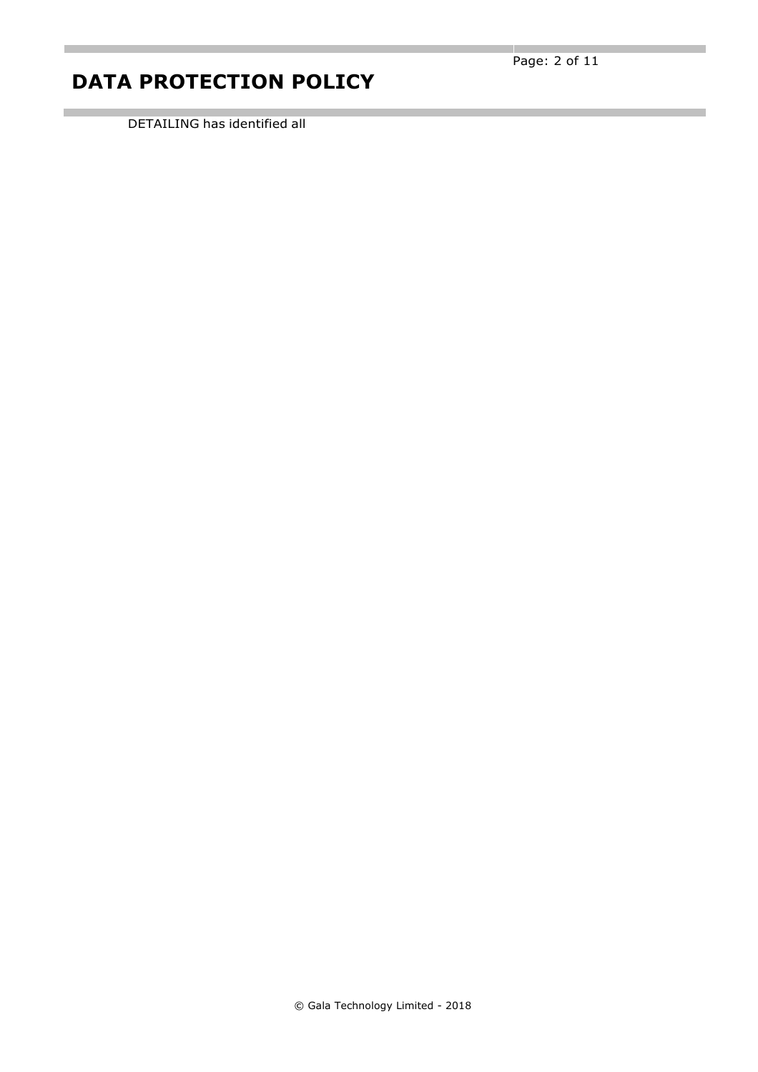DETAILING has identified all

л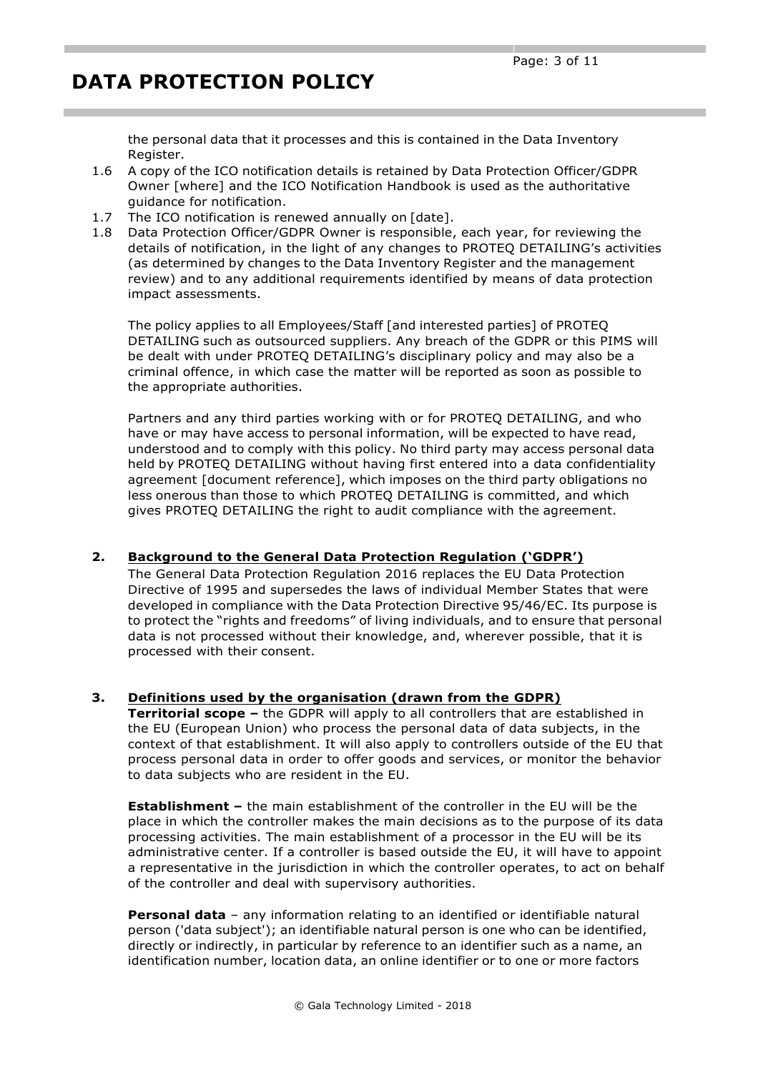the personal data that it processes and this is contained in the Data Inventory Register.

- 1.6 A copy of the ICO notification details is retained by Data Protection Officer/GDPR Owner [where] and the ICO Notification Handbook is used as the authoritative guidance for notification.
- 1.7 The ICO notification is renewed annually on [date].
- 1.8 Data Protection Officer/GDPR Owner is responsible, each year, for reviewing the details of notification, in the light of any changes to PROTEQ DETAILING's activities (as determined by changes to the Data Inventory Register and the management review) and to any additional requirements identified by means of data protection impact assessments.

The policy applies to all Employees/Staff [and interested parties] of PROTEQ DETAILING such as outsourced suppliers. Any breach of the GDPR or this PIMS will be dealt with under PROTEQ DETAILING's disciplinary policy and may also be a criminal offence, in which case the matter will be reported as soon as possible to the appropriate authorities.

Partners and any third parties working with or for PROTEQ DETAILING, and who have or may have access to personal information, will be expected to have read, understood and to comply with this policy. No third party may access personal data held by PROTEQ DETAILING without having first entered into a data confidentiality agreement [document reference], which imposes on the third party obligations no less onerous than those to which PROTEQ DETAILING is committed, and which gives PROTEQ DETAILING the right to audit compliance with the agreement.

### **2. Background to the General Data Protection Regulation ('GDPR')**

The General Data Protection Regulation 2016 replaces the EU Data Protection Directive of 1995 and supersedes the laws of individual Member States that were developed in compliance with the Data Protection Directive 95/46/EC. Its purpose is to protect the "rights and freedoms" of living individuals, and to ensure that personal data is not processed without their knowledge, and, wherever possible, that it is processed with their consent.

### **3. Definitions used by the organisation (drawn from the GDPR)**

**Territorial scope –** the GDPR will apply to all controllers that are established in the EU (European Union) who process the personal data of data subjects, in the context of that establishment. It will also apply to controllers outside of the EU that process personal data in order to offer goods and services, or monitor the behavior to data subjects who are resident in the EU.

**Establishment –** the main establishment of the controller in the EU will be the place in which the controller makes the main decisions as to the purpose of its data processing activities. The main establishment of a processor in the EU will be its administrative center. If a controller is based outside the EU, it will have to appoint a representative in the jurisdiction in which the controller operates, to act on behalf of the controller and deal with supervisory authorities.

**Personal data** – any information relating to an identified or identifiable natural person ('data subject'); an identifiable natural person is one who can be identified, directly or indirectly, in particular by reference to an identifier such as a name, an identification number, location data, an online identifier or to one or more factors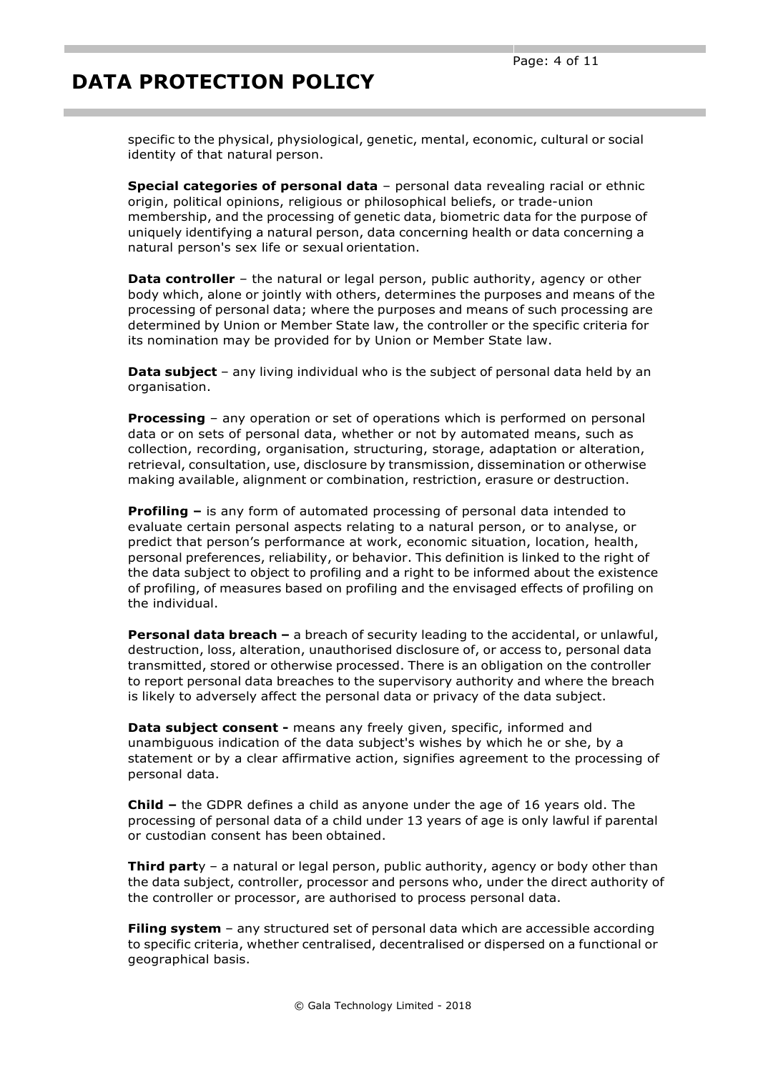specific to the physical, physiological, genetic, mental, economic, cultural or social identity of that natural person.

**Special categories of personal data** – personal data revealing racial or ethnic origin, political opinions, religious or philosophical beliefs, or trade-union membership, and the processing of genetic data, biometric data for the purpose of uniquely identifying a natural person, data concerning health or data concerning a natural person's sex life or sexual orientation.

**Data controller** – the natural or legal person, public authority, agency or other body which, alone or jointly with others, determines the purposes and means of the processing of personal data; where the purposes and means of such processing are determined by Union or Member State law, the controller or the specific criteria for its nomination may be provided for by Union or Member State law.

**Data subject** – any living individual who is the subject of personal data held by an organisation.

**Processing** – any operation or set of operations which is performed on personal data or on sets of personal data, whether or not by automated means, such as collection, recording, organisation, structuring, storage, adaptation or alteration, retrieval, consultation, use, disclosure by transmission, dissemination or otherwise making available, alignment or combination, restriction, erasure or destruction.

**Profiling –** is any form of automated processing of personal data intended to evaluate certain personal aspects relating to a natural person, or to analyse, or predict that person's performance at work, economic situation, location, health, personal preferences, reliability, or behavior. This definition is linked to the right of the data subject to object to profiling and a right to be informed about the existence of profiling, of measures based on profiling and the envisaged effects of profiling on the individual.

**Personal data breach –** a breach of security leading to the accidental, or unlawful, destruction, loss, alteration, unauthorised disclosure of, or access to, personal data transmitted, stored or otherwise processed. There is an obligation on the controller to report personal data breaches to the supervisory authority and where the breach is likely to adversely affect the personal data or privacy of the data subject.

**Data subject consent -** means any freely given, specific, informed and unambiguous indication of the data subject's wishes by which he or she, by a statement or by a clear affirmative action, signifies agreement to the processing of personal data.

**Child –** the GDPR defines a child as anyone under the age of 16 years old. The processing of personal data of a child under 13 years of age is only lawful if parental or custodian consent has been obtained.

**Third part**y – a natural or legal person, public authority, agency or body other than the data subject, controller, processor and persons who, under the direct authority of the controller or processor, are authorised to process personal data.

**Filing system** – any structured set of personal data which are accessible according to specific criteria, whether centralised, decentralised or dispersed on a functional or geographical basis.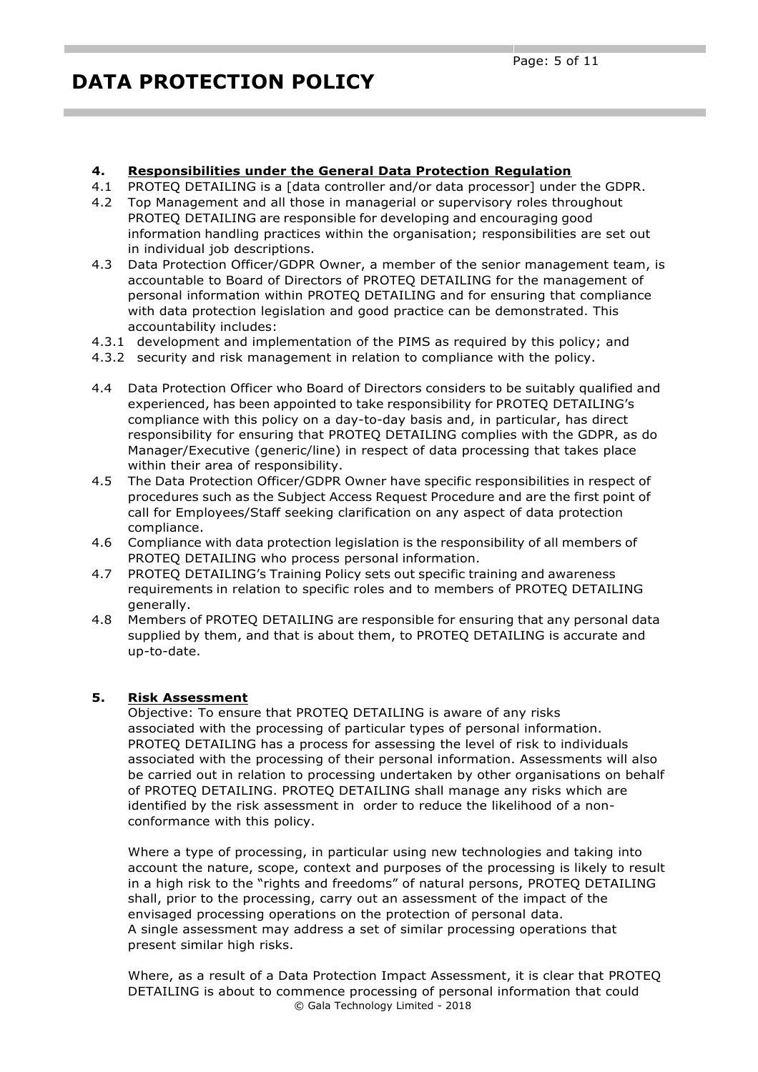### **4. Responsibilities under the General Data Protection Regulation**

- 4.1 PROTEQ DETAILING is a [data controller and/or data processor] under the GDPR.
- 4.2 Top Management and all those in managerial or supervisory roles throughout PROTEQ DETAILING are responsible for developing and encouraging good information handling practices within the organisation; responsibilities are set out in individual job descriptions.
- 4.3 Data Protection Officer/GDPR Owner, a member of the senior management team, is accountable to Board of Directors of PROTEQ DETAILING for the management of personal information within PROTEQ DETAILING and for ensuring that compliance with data protection legislation and good practice can be demonstrated. This accountability includes:
- 4.3.1 development and implementation of the PIMS as required by this policy; and
- 4.3.2 security and risk management in relation to compliance with the policy.
- 4.4 Data Protection Officer who Board of Directors considers to be suitably qualified and experienced, has been appointed to take responsibility for PROTEQ DETAILING's compliance with this policy on a day-to-day basis and, in particular, has direct responsibility for ensuring that PROTEQ DETAILING complies with the GDPR, as do Manager/Executive (generic/line) in respect of data processing that takes place within their area of responsibility.
- 4.5 The Data Protection Officer/GDPR Owner have specific responsibilities in respect of procedures such as the Subject Access Request Procedure and are the first point of call for Employees/Staff seeking clarification on any aspect of data protection compliance.
- 4.6 Compliance with data protection legislation is the responsibility of all members of PROTEQ DETAILING who process personal information.
- 4.7 PROTEQ DETAILING's Training Policy sets out specific training and awareness requirements in relation to specific roles and to members of PROTEQ DETAILING generally.
- 4.8 Members of PROTEQ DETAILING are responsible for ensuring that any personal data supplied by them, and that is about them, to PROTEQ DETAILING is accurate and up-to-date.

### **5. Risk Assessment**

Objective: To ensure that PROTEQ DETAILING is aware of any risks associated with the processing of particular types of personal information. PROTEQ DETAILING has a process for assessing the level of risk to individuals associated with the processing of their personal information. Assessments will also be carried out in relation to processing undertaken by other organisations on behalf of PROTEQ DETAILING. PROTEQ DETAILING shall manage any risks which are identified by the risk assessment in order to reduce the likelihood of a nonconformance with this policy.

Where a type of processing, in particular using new technologies and taking into account the nature, scope, context and purposes of the processing is likely to result in a high risk to the "rights and freedoms" of natural persons, PROTEQ DETAILING shall, prior to the processing, carry out an assessment of the impact of the envisaged processing operations on the protection of personal data. A single assessment may address a set of similar processing operations that present similar high risks.

© Gala Technology Limited - 2018 Where, as a result of a Data Protection Impact Assessment, it is clear that PROTEQ DETAILING is about to commence processing of personal information that could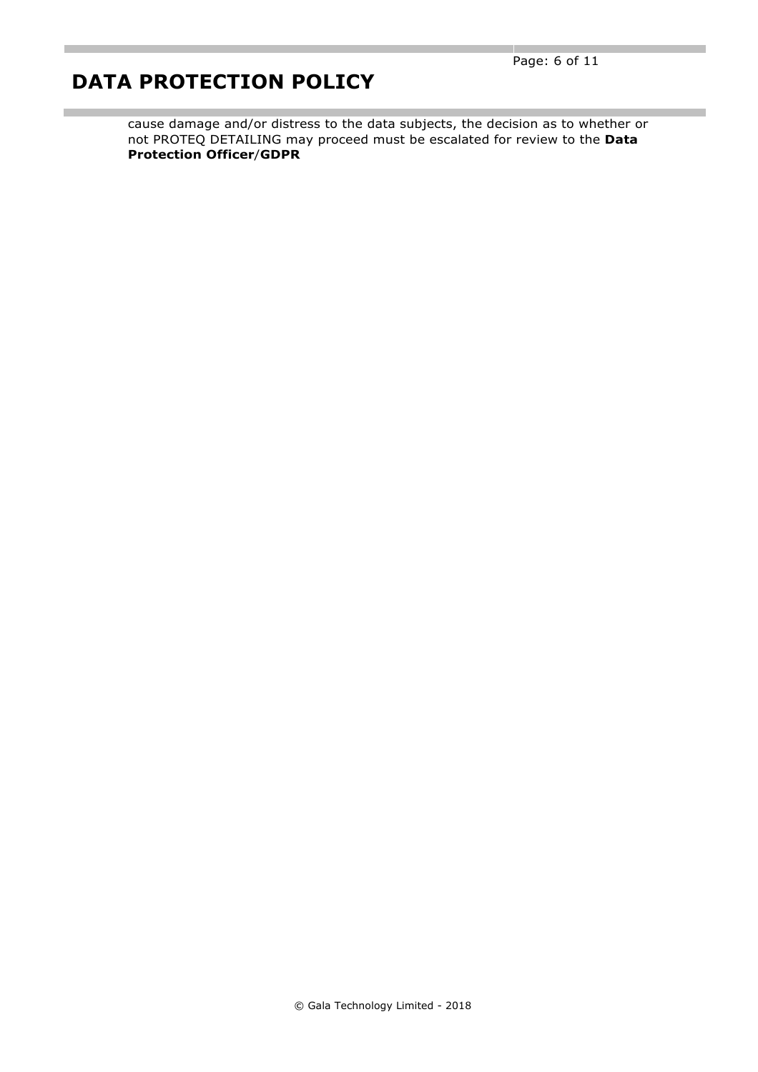cause damage and/or distress to the data subjects, the decision as to whether or not PROTEQ DETAILING may proceed must be escalated for review to the **Data Protection Officer**/**GDPR**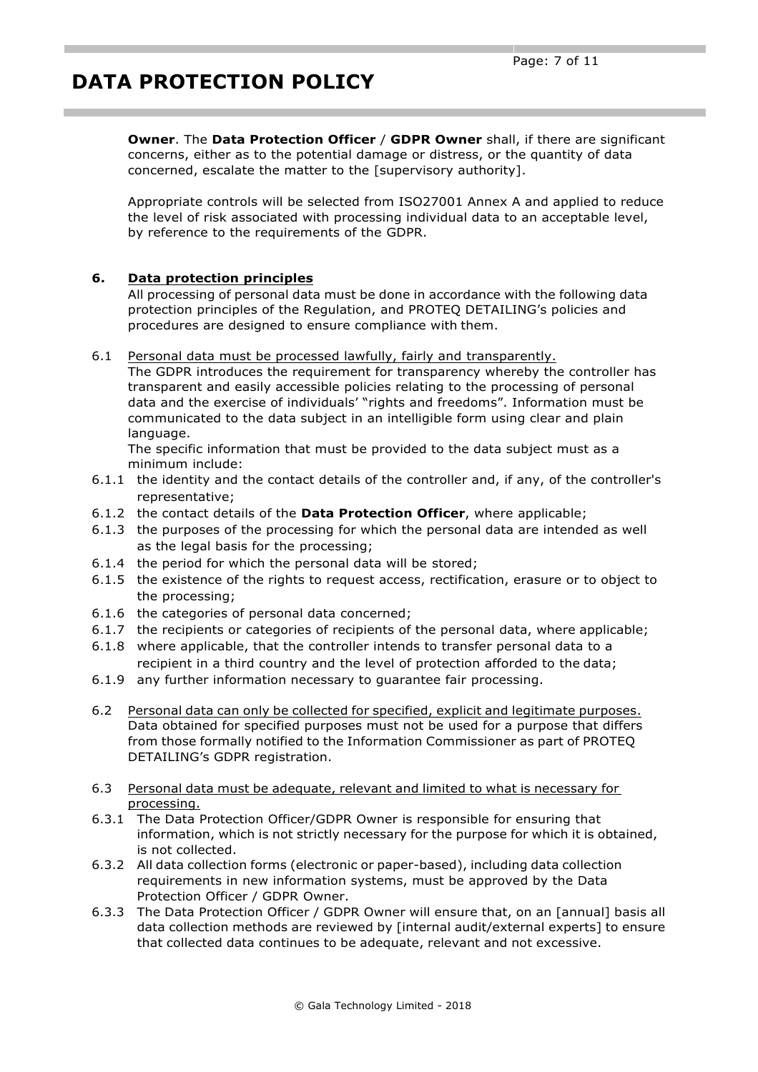**Owner**. The **Data Protection Officer** / **GDPR Owner** shall, if there are significant concerns, either as to the potential damage or distress, or the quantity of data concerned, escalate the matter to the [supervisory authority].

Appropriate controls will be selected from ISO27001 Annex A and applied to reduce the level of risk associated with processing individual data to an acceptable level, by reference to the requirements of the GDPR.

## **6. Data protection principles**

All processing of personal data must be done in accordance with the following data protection principles of the Regulation, and PROTEQ DETAILING's policies and procedures are designed to ensure compliance with them.

#### 6.1 Personal data must be processed lawfully, fairly and transparently.

The GDPR introduces the requirement for transparency whereby the controller has transparent and easily accessible policies relating to the processing of personal data and the exercise of individuals' "rights and freedoms". Information must be communicated to the data subject in an intelligible form using clear and plain language.

The specific information that must be provided to the data subject must as a minimum include:

- 6.1.1 the identity and the contact details of the controller and, if any, of the controller's representative;
- 6.1.2 the contact details of the **Data Protection Officer**, where applicable;
- 6.1.3 the purposes of the processing for which the personal data are intended as well as the legal basis for the processing;
- 6.1.4 the period for which the personal data will be stored;
- 6.1.5 the existence of the rights to request access, rectification, erasure or to object to the processing;
- 6.1.6 the categories of personal data concerned;
- 6.1.7 the recipients or categories of recipients of the personal data, where applicable;
- 6.1.8 where applicable, that the controller intends to transfer personal data to a recipient in a third country and the level of protection afforded to the data;
- 6.1.9 any further information necessary to guarantee fair processing.
- 6.2 Personal data can only be collected for specified, explicit and legitimate purposes. Data obtained for specified purposes must not be used for a purpose that differs from those formally notified to the Information Commissioner as part of PROTEQ DETAILING's GDPR registration.
- 6.3 Personal data must be adequate, relevant and limited to what is necessary for processing.
- 6.3.1 The Data Protection Officer/GDPR Owner is responsible for ensuring that information, which is not strictly necessary for the purpose for which it is obtained, is not collected.
- 6.3.2 All data collection forms (electronic or paper-based), including data collection requirements in new information systems, must be approved by the Data Protection Officer / GDPR Owner.
- 6.3.3 The Data Protection Officer / GDPR Owner will ensure that, on an [annual] basis all data collection methods are reviewed by [internal audit/external experts] to ensure that collected data continues to be adequate, relevant and not excessive.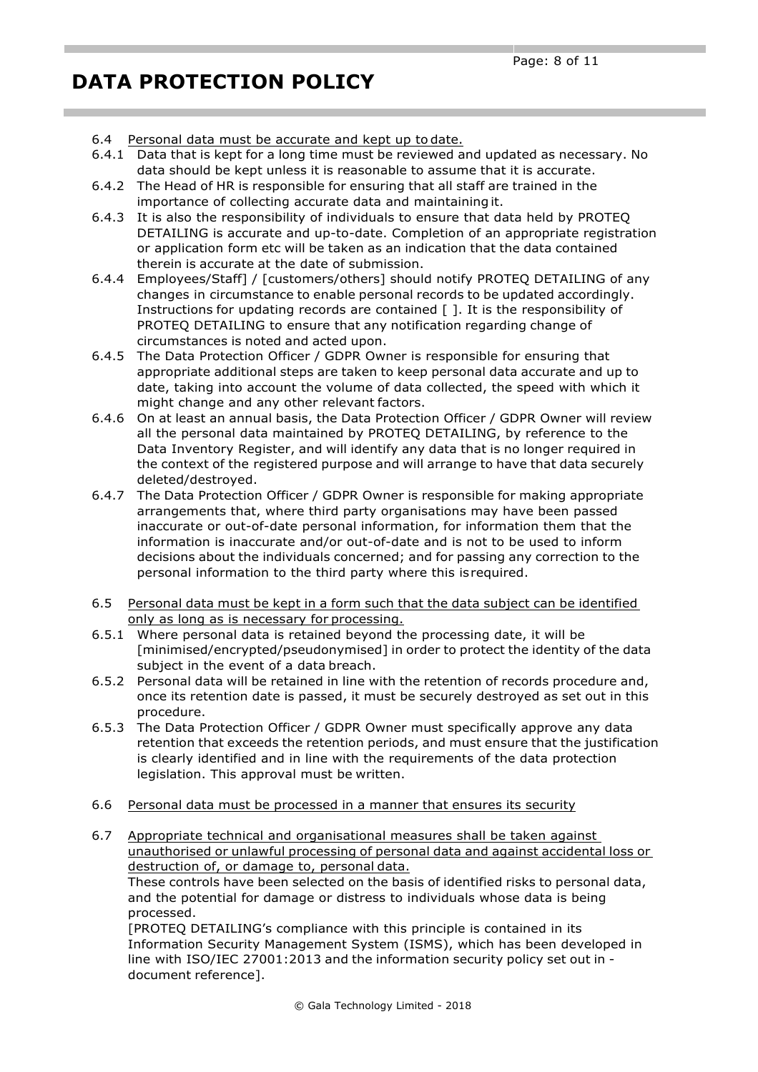- 6.4 Personal data must be accurate and kept up to date.
- 6.4.1 Data that is kept for a long time must be reviewed and updated as necessary. No data should be kept unless it is reasonable to assume that it is accurate.
- 6.4.2 The Head of HR is responsible for ensuring that all staff are trained in the importance of collecting accurate data and maintainingit.
- 6.4.3 It is also the responsibility of individuals to ensure that data held by PROTEQ DETAILING is accurate and up-to-date. Completion of an appropriate registration or application form etc will be taken as an indication that the data contained therein is accurate at the date of submission.
- 6.4.4 Employees/Staff] / [customers/others] should notify PROTEQ DETAILING of any changes in circumstance to enable personal records to be updated accordingly. Instructions for updating records are contained [ ]. It is the responsibility of PROTEQ DETAILING to ensure that any notification regarding change of circumstances is noted and acted upon.
- 6.4.5 The Data Protection Officer / GDPR Owner is responsible for ensuring that appropriate additional steps are taken to keep personal data accurate and up to date, taking into account the volume of data collected, the speed with which it might change and any other relevant factors.
- 6.4.6 On at least an annual basis, the Data Protection Officer / GDPR Owner will review all the personal data maintained by PROTEQ DETAILING, by reference to the Data Inventory Register, and will identify any data that is no longer required in the context of the registered purpose and will arrange to have that data securely deleted/destroyed.
- 6.4.7 The Data Protection Officer / GDPR Owner is responsible for making appropriate arrangements that, where third party organisations may have been passed inaccurate or out-of-date personal information, for information them that the information is inaccurate and/or out-of-date and is not to be used to inform decisions about the individuals concerned; and for passing any correction to the personal information to the third party where this isrequired.
- 6.5 Personal data must be kept in a form such that the data subject can be identified only as long as is necessary for processing.
- 6.5.1 Where personal data is retained beyond the processing date, it will be [minimised/encrypted/pseudonymised] in order to protect the identity of the data subject in the event of a data breach.
- 6.5.2 Personal data will be retained in line with the retention of records procedure and, once its retention date is passed, it must be securely destroyed as set out in this procedure.
- 6.5.3 The Data Protection Officer / GDPR Owner must specifically approve any data retention that exceeds the retention periods, and must ensure that the justification is clearly identified and in line with the requirements of the data protection legislation. This approval must be written.
- 6.6 Personal data must be processed in a manner that ensures its security
- 6.7 Appropriate technical and organisational measures shall be taken against unauthorised or unlawful processing of personal data and against accidental loss or destruction of, or damage to, personal data.

These controls have been selected on the basis of identified risks to personal data, and the potential for damage or distress to individuals whose data is being processed.

[PROTEQ DETAILING's compliance with this principle is contained in its Information Security Management System (ISMS), which has been developed in line with ISO/IEC 27001:2013 and the information security policy set out in document reference].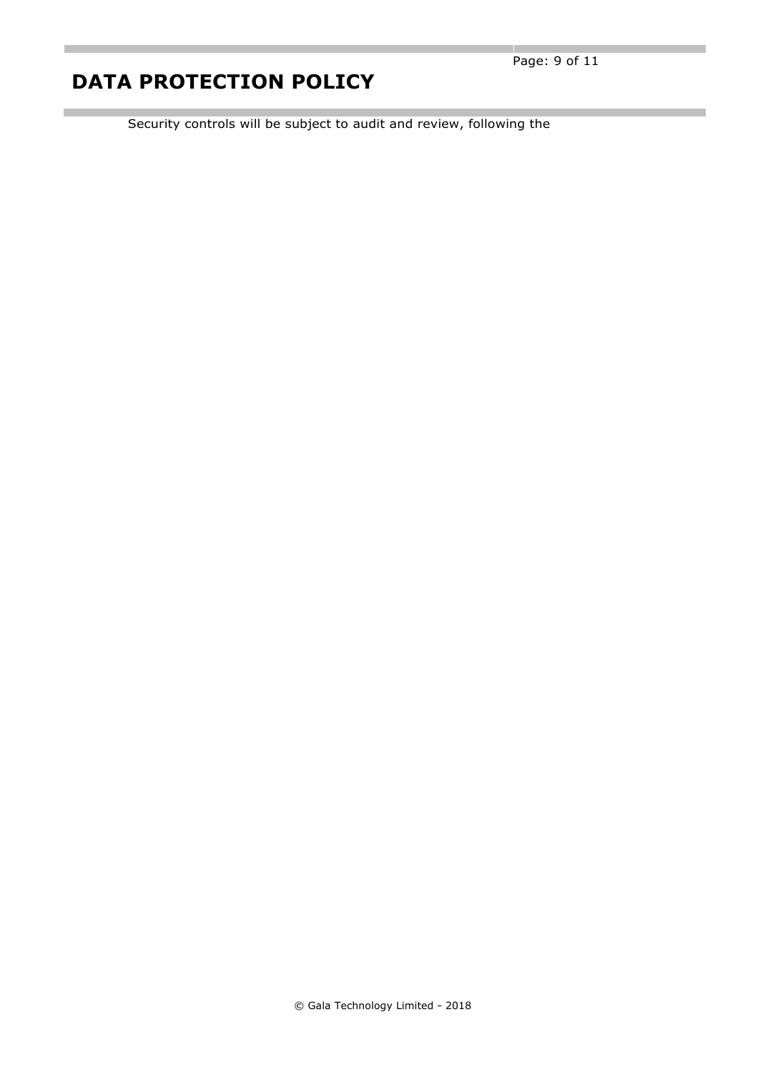п

Security controls will be subject to audit and review, following the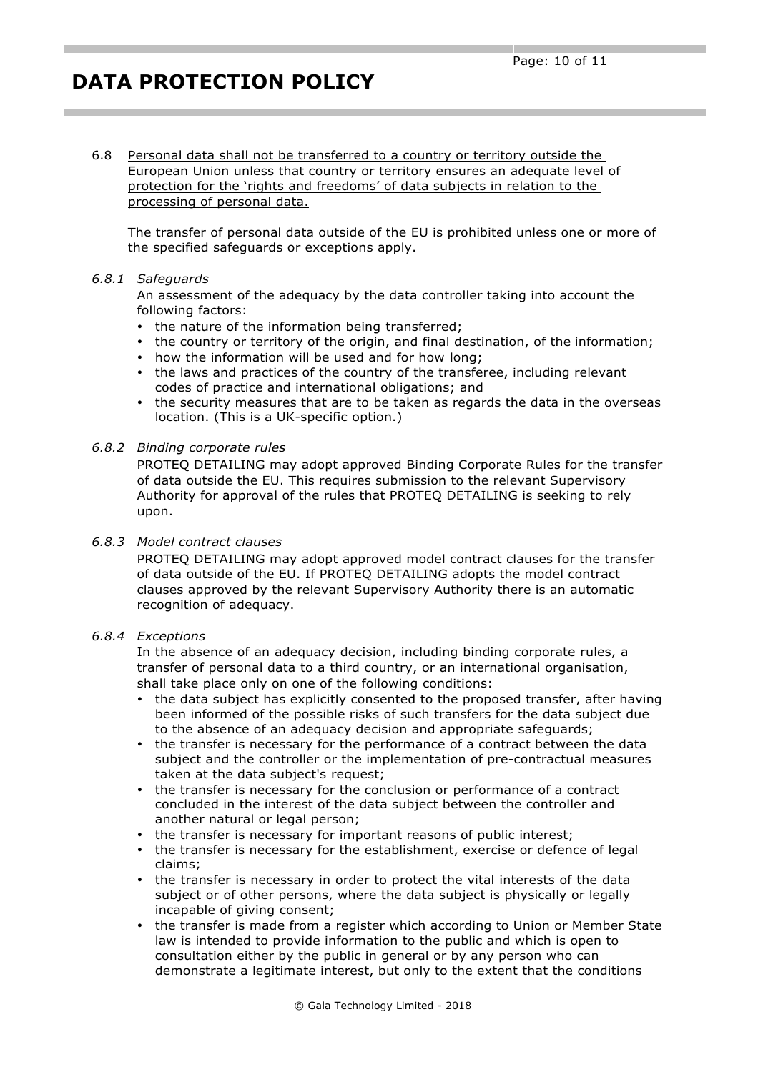6.8 Personal data shall not be transferred to a country or territory outside the European Union unless that country or territory ensures an adequate level of protection for the 'rights and freedoms' of data subjects in relation to the processing of personal data.

The transfer of personal data outside of the EU is prohibited unless one or more of the specified safeguards or exceptions apply.

#### *6.8.1 Safeguards*

An assessment of the adequacy by the data controller taking into account the following factors:

- the nature of the information being transferred;
- the country or territory of the origin, and final destination, of the information;
- how the information will be used and for how long;
- the laws and practices of the country of the transferee, including relevant codes of practice and international obligations; and
- the security measures that are to be taken as regards the data in the overseas location. (This is a UK-specific option.)

#### *6.8.2 Binding corporate rules*

PROTEQ DETAILING may adopt approved Binding Corporate Rules for the transfer of data outside the EU. This requires submission to the relevant Supervisory Authority for approval of the rules that PROTEQ DETAILING is seeking to rely upon.

#### *6.8.3 Model contract clauses*

PROTEQ DETAILING may adopt approved model contract clauses for the transfer of data outside of the EU. If PROTEQ DETAILING adopts the model contract clauses approved by the relevant Supervisory Authority there is an automatic recognition of adequacy.

#### *6.8.4 Exceptions*

In the absence of an adequacy decision, including binding corporate rules, a transfer of personal data to a third country, or an international organisation, shall take place only on one of the following conditions:

- the data subject has explicitly consented to the proposed transfer, after having been informed of the possible risks of such transfers for the data subject due to the absence of an adequacy decision and appropriate safeguards;
- the transfer is necessary for the performance of a contract between the data subject and the controller or the implementation of pre-contractual measures taken at the data subject's request;
- the transfer is necessary for the conclusion or performance of a contract concluded in the interest of the data subject between the controller and another natural or legal person;
- the transfer is necessary for important reasons of public interest;
- the transfer is necessary for the establishment, exercise or defence of legal claims;
- the transfer is necessary in order to protect the vital interests of the data subject or of other persons, where the data subject is physically or legally incapable of giving consent;
- the transfer is made from a register which according to Union or Member State law is intended to provide information to the public and which is open to consultation either by the public in general or by any person who can demonstrate a legitimate interest, but only to the extent that the conditions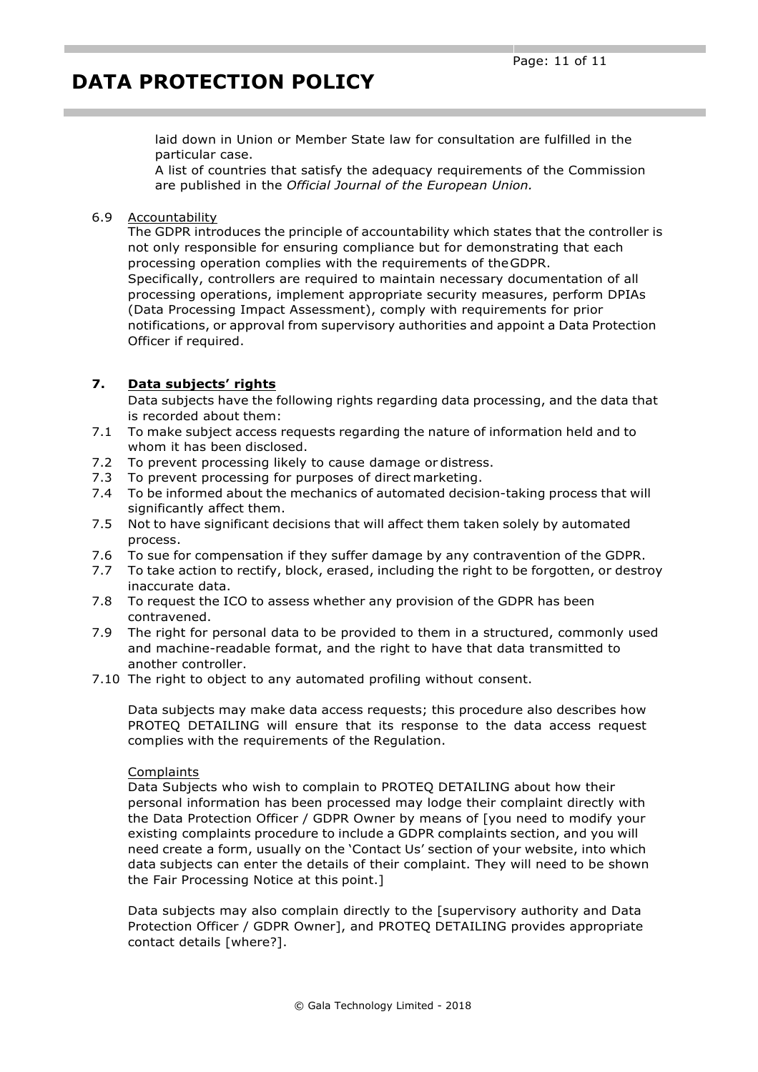laid down in Union or Member State law for consultation are fulfilled in the particular case.

A list of countries that satisfy the adequacy requirements of the Commission are published in the *Official Journal of the European Union.*

#### 6.9 Accountability

The GDPR introduces the principle of accountability which states that the controller is not only responsible for ensuring compliance but for demonstrating that each processing operation complies with the requirements of theGDPR. Specifically, controllers are required to maintain necessary documentation of all processing operations, implement appropriate security measures, perform DPIAs (Data Processing Impact Assessment), comply with requirements for prior

notifications, or approval from supervisory authorities and appoint a Data Protection Officer if required.

### **7. Data subjects' rights**

Data subjects have the following rights regarding data processing, and the data that is recorded about them:

- 7.1 To make subject access requests regarding the nature of information held and to whom it has been disclosed.
- 7.2 To prevent processing likely to cause damage or distress.
- 7.3 To prevent processing for purposes of direct marketing.
- 7.4 To be informed about the mechanics of automated decision-taking process that will significantly affect them.
- 7.5 Not to have significant decisions that will affect them taken solely by automated process.
- 7.6 To sue for compensation if they suffer damage by any contravention of the GDPR.
- 7.7 To take action to rectify, block, erased, including the right to be forgotten, or destroy inaccurate data.
- 7.8 To request the ICO to assess whether any provision of the GDPR has been contravened.
- 7.9 The right for personal data to be provided to them in a structured, commonly used and machine-readable format, and the right to have that data transmitted to another controller.
- 7.10 The right to object to any automated profiling without consent.

Data subjects may make data access requests; this procedure also describes how PROTEQ DETAILING will ensure that its response to the data access request complies with the requirements of the Regulation.

#### **Complaints**

Data Subjects who wish to complain to PROTEQ DETAILING about how their personal information has been processed may lodge their complaint directly with the Data Protection Officer / GDPR Owner by means of [you need to modify your existing complaints procedure to include a GDPR complaints section, and you will need create a form, usually on the 'Contact Us' section of your website, into which data subjects can enter the details of their complaint. They will need to be shown the Fair Processing Notice at this point.]

Data subjects may also complain directly to the [supervisory authority and Data Protection Officer / GDPR Owner], and PROTEQ DETAILING provides appropriate contact details [where?].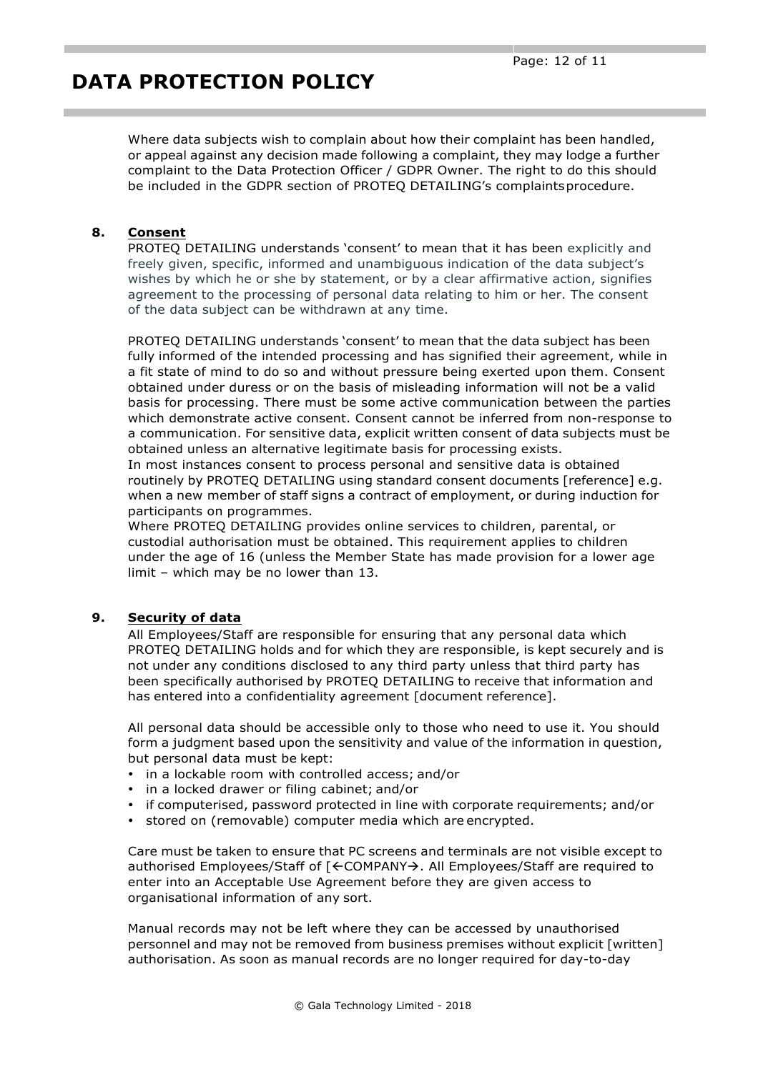Where data subjects wish to complain about how their complaint has been handled, or appeal against any decision made following a complaint, they may lodge a further complaint to the Data Protection Officer / GDPR Owner. The right to do this should be included in the GDPR section of PROTEQ DETAILING's complaintsprocedure.

## **8. Consent**

PROTEQ DETAILING understands 'consent' to mean that it has been explicitly and freely given, specific, informed and unambiguous indication of the data subject's wishes by which he or she by statement, or by a clear affirmative action, signifies agreement to the processing of personal data relating to him or her. The consent of the data subject can be withdrawn at any time.

PROTEQ DETAILING understands 'consent' to mean that the data subject has been fully informed of the intended processing and has signified their agreement, while in a fit state of mind to do so and without pressure being exerted upon them. Consent obtained under duress or on the basis of misleading information will not be a valid basis for processing. There must be some active communication between the parties which demonstrate active consent. Consent cannot be inferred from non-response to a communication. For sensitive data, explicit written consent of data subjects must be obtained unless an alternative legitimate basis for processing exists.

In most instances consent to process personal and sensitive data is obtained routinely by PROTEQ DETAILING using standard consent documents [reference] e.g. when a new member of staff signs a contract of employment, or during induction for participants on programmes.

Where PROTEQ DETAILING provides online services to children, parental, or custodial authorisation must be obtained. This requirement applies to children under the age of 16 (unless the Member State has made provision for a lower age limit – which may be no lower than 13.

### **9. Security of data**

All Employees/Staff are responsible for ensuring that any personal data which PROTEQ DETAILING holds and for which they are responsible, is kept securely and is not under any conditions disclosed to any third party unless that third party has been specifically authorised by PROTEQ DETAILING to receive that information and has entered into a confidentiality agreement [document reference].

All personal data should be accessible only to those who need to use it. You should form a judgment based upon the sensitivity and value of the information in question, but personal data must be kept:

- in a lockable room with controlled access; and/or
- in a locked drawer or filing cabinet; and/or
- if computerised, password protected in line with corporate requirements; and/or
- stored on (removable) computer media which are encrypted.

Care must be taken to ensure that PC screens and terminals are not visible except to authorised Employees/Staff of  $K$ COMPANY $\rightarrow$ . All Employees/Staff are required to enter into an Acceptable Use Agreement before they are given access to organisational information of any sort.

Manual records may not be left where they can be accessed by unauthorised personnel and may not be removed from business premises without explicit [written] authorisation. As soon as manual records are no longer required for day-to-day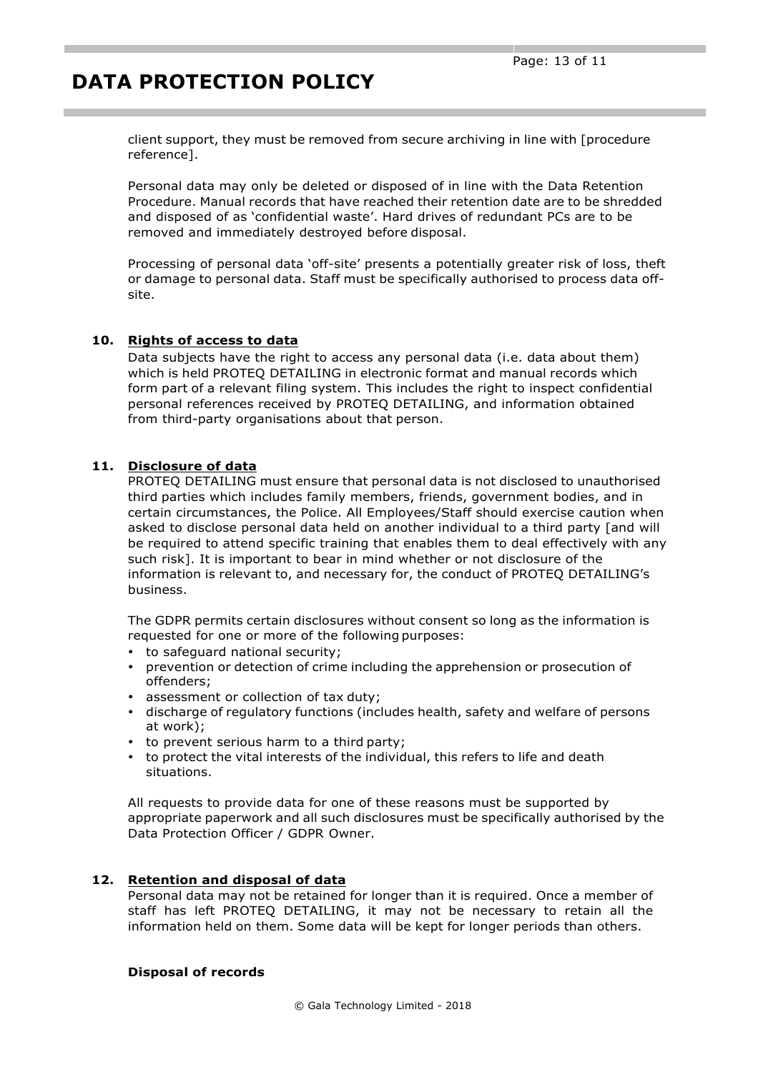client support, they must be removed from secure archiving in line with [procedure reference].

Personal data may only be deleted or disposed of in line with the Data Retention Procedure. Manual records that have reached their retention date are to be shredded and disposed of as 'confidential waste'. Hard drives of redundant PCs are to be removed and immediately destroyed before disposal.

Processing of personal data 'off-site' presents a potentially greater risk of loss, theft or damage to personal data. Staff must be specifically authorised to process data offsite.

## **10. Rights of access to data**

Data subjects have the right to access any personal data (i.e. data about them) which is held PROTEQ DETAILING in electronic format and manual records which form part of a relevant filing system. This includes the right to inspect confidential personal references received by PROTEQ DETAILING, and information obtained from third-party organisations about that person.

## **11. Disclosure of data**

PROTEQ DETAILING must ensure that personal data is not disclosed to unauthorised third parties which includes family members, friends, government bodies, and in certain circumstances, the Police. All Employees/Staff should exercise caution when asked to disclose personal data held on another individual to a third party [and will be required to attend specific training that enables them to deal effectively with any such risk]. It is important to bear in mind whether or not disclosure of the information is relevant to, and necessary for, the conduct of PROTEQ DETAILING's business.

The GDPR permits certain disclosures without consent so long as the information is requested for one or more of the following purposes:

- to safeguard national security;
- prevention or detection of crime including the apprehension or prosecution of offenders;
- assessment or collection of tax duty;
- discharge of regulatory functions (includes health, safety and welfare of persons at work);
- to prevent serious harm to a third party;
- to protect the vital interests of the individual, this refers to life and death situations.

All requests to provide data for one of these reasons must be supported by appropriate paperwork and all such disclosures must be specifically authorised by the Data Protection Officer / GDPR Owner.

### **12. Retention and disposal of data**

Personal data may not be retained for longer than it is required. Once a member of staff has left PROTEQ DETAILING, it may not be necessary to retain all the information held on them. Some data will be kept for longer periods than others.

### **Disposal of records**